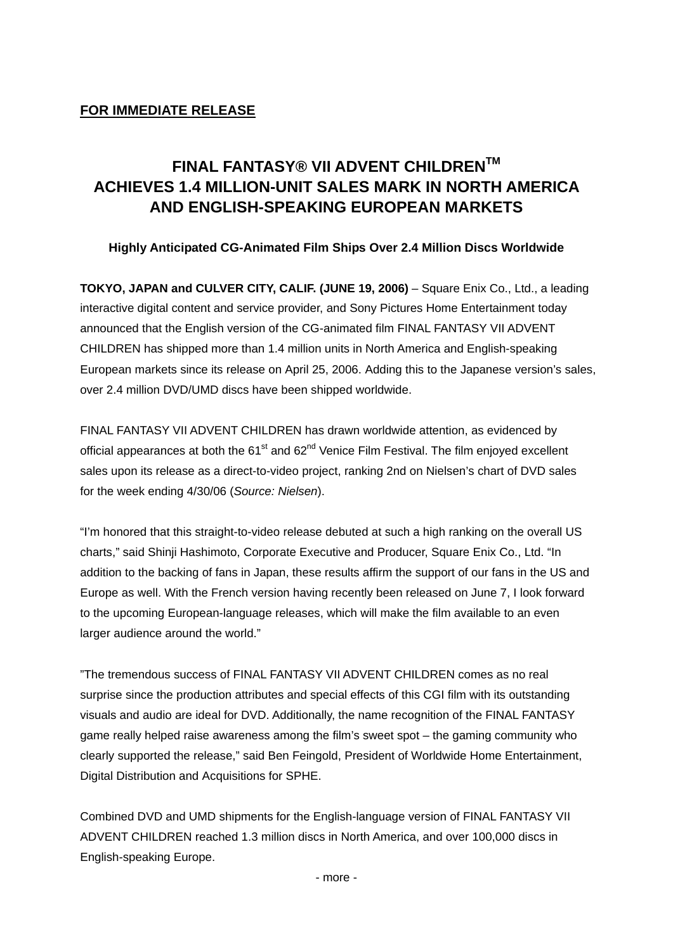## **FINAL FANTASY® VII ADVENT CHILDRENTM ACHIEVES 1.4 MILLION-UNIT SALES MARK IN NORTH AMERICA AND ENGLISH-SPEAKING EUROPEAN MARKETS**

**Highly Anticipated CG-Animated Film Ships Over 2.4 Million Discs Worldwide** 

**TOKYO, JAPAN and CULVER CITY, CALIF. (JUNE 19, 2006)** – Square Enix Co., Ltd., a leading interactive digital content and service provider, and Sony Pictures Home Entertainment today announced that the English version of the CG-animated film FINAL FANTASY VII ADVENT CHILDREN has shipped more than 1.4 million units in North America and English-speaking European markets since its release on April 25, 2006. Adding this to the Japanese version's sales, over 2.4 million DVD/UMD discs have been shipped worldwide.

FINAL FANTASY VII ADVENT CHILDREN has drawn worldwide attention, as evidenced by official appearances at both the  $61<sup>st</sup>$  and  $62<sup>nd</sup>$  Venice Film Festival. The film enjoyed excellent sales upon its release as a direct-to-video project, ranking 2nd on Nielsen's chart of DVD sales for the week ending 4/30/06 (*Source: Nielsen*).

"I'm honored that this straight-to-video release debuted at such a high ranking on the overall US charts," said Shinji Hashimoto, Corporate Executive and Producer, Square Enix Co., Ltd. "In addition to the backing of fans in Japan, these results affirm the support of our fans in the US and Europe as well. With the French version having recently been released on June 7, I look forward to the upcoming European-language releases, which will make the film available to an even larger audience around the world."

"The tremendous success of FINAL FANTASY VII ADVENT CHILDREN comes as no real surprise since the production attributes and special effects of this CGI film with its outstanding visuals and audio are ideal for DVD. Additionally, the name recognition of the FINAL FANTASY game really helped raise awareness among the film's sweet spot – the gaming community who clearly supported the release," said Ben Feingold, President of Worldwide Home Entertainment, Digital Distribution and Acquisitions for SPHE.

Combined DVD and UMD shipments for the English-language version of FINAL FANTASY VII ADVENT CHILDREN reached 1.3 million discs in North America, and over 100,000 discs in English-speaking Europe.